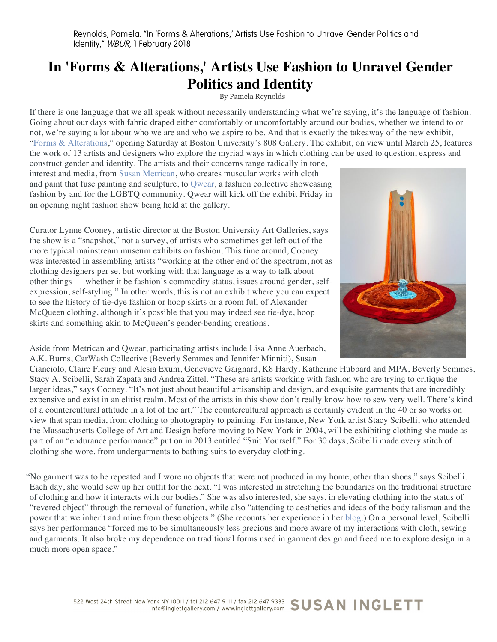## **In 'Forms & Alterations,' Artists Use Fashion to Unravel Gender Politics and Identity**

By Pamela Reynolds

If there is one language that we all speak without necessarily understanding what we're saying, it's the language of fashion. Going about our days with fabric draped either comfortably or uncomfortably around our bodies, whether we intend to or not, we're saying a lot about who we are and who we aspire to be. And that is exactly the takeaway of the new exhibit, "Forms & Alterations," opening Saturday at Boston University's 808 Gallery. The exhibit, on view until March 25, features the work of 13 artists and designers who explore the myriad ways in which clothing can be used to question, express and

construct gender and identity. The artists and their concerns range radically in tone, interest and media, from Susan Metrican, who creates muscular works with cloth and paint that fuse painting and sculpture, to Qwear, a fashion collective showcasing fashion by and for the LGBTQ community. Qwear will kick off the exhibit Friday in an opening night fashion show being held at the gallery.

Curator Lynne Cooney, artistic director at the Boston University Art Galleries, says the show is a "snapshot," not a survey, of artists who sometimes get left out of the more typical mainstream museum exhibits on fashion. This time around, Cooney was interested in assembling artists "working at the other end of the spectrum, not as clothing designers per se, but working with that language as a way to talk about other things — whether it be fashion's commodity status, issues around gender, selfexpression, self-styling." In other words, this is not an exhibit where you can expect to see the history of tie-dye fashion or hoop skirts or a room full of Alexander McQueen clothing, although it's possible that you may indeed see tie-dye, hoop skirts and something akin to McQueen's gender-bending creations.

Aside from Metrican and Qwear, participating artists include Lisa Anne Auerbach, A.K. Burns, CarWash Collective (Beverly Semmes and Jennifer Minniti), Susan

Cianciolo, Claire Fleury and Alesia Exum, Genevieve Gaignard, K8 Hardy, Katherine Hubbard and MPA, Beverly Semmes, Stacy A. Scibelli, Sarah Zapata and Andrea Zittel. "These are artists working with fashion who are trying to critique the larger ideas," says Cooney. "It's not just about beautiful artisanship and design, and exquisite garments that are incredibly expensive and exist in an elitist realm. Most of the artists in this show don't really know how to sew very well. There's kind of a countercultural attitude in a lot of the art." The countercultural approach is certainly evident in the 40 or so works on view that span media, from clothing to photography to painting. For instance, New York artist Stacy Scibelli, who attended the Massachusetts College of Art and Design before moving to New York in 2004, will be exhibiting clothing she made as part of an "endurance performance" put on in 2013 entitled "Suit Yourself." For 30 days, Scibelli made every stitch of clothing she wore, from undergarments to bathing suits to everyday clothing.

"No garment was to be repeated and I wore no objects that were not produced in my home, other than shoes," says Scibelli. Each day, she would sew up her outfit for the next. "I was interested in stretching the boundaries on the traditional structure of clothing and how it interacts with our bodies." She was also interested, she says, in elevating clothing into the status of "revered object" through the removal of function, while also "attending to aesthetics and ideas of the body talisman and the power that we inherit and mine from these objects." (She recounts her experience in her  $\underline{blog}$ .) On a personal level, Scibelli says her performance "forced me to be simultaneously less precious and more aware of my interactions with cloth, sewing and garments. It also broke my dependence on traditional forms used in garment design and freed me to explore design in a much more open space."